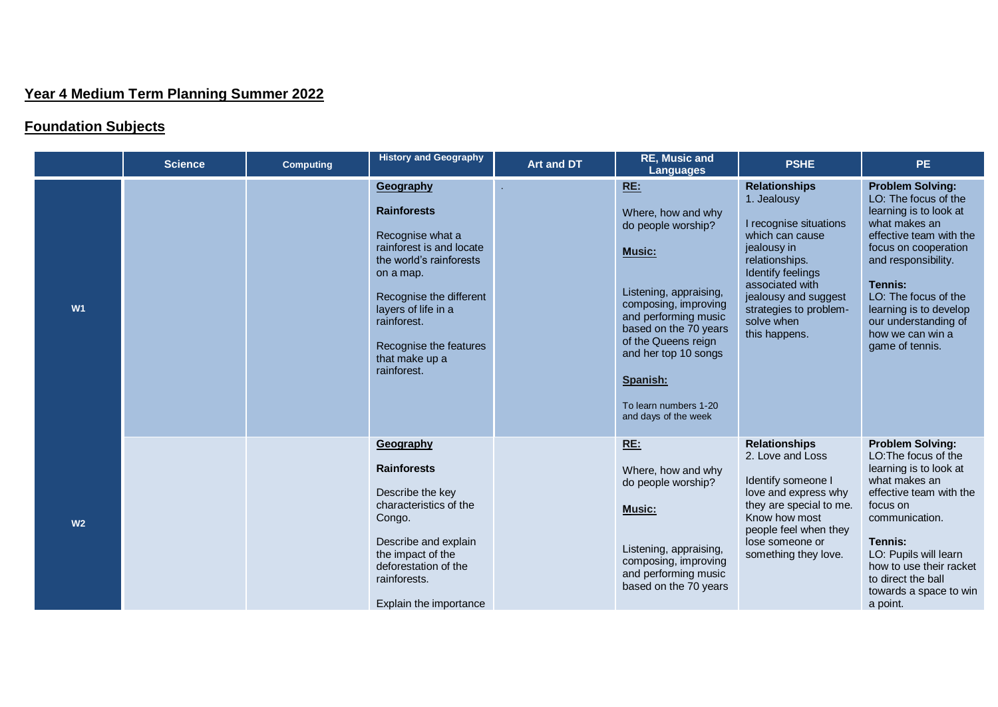## **Year 4 Medium Term Planning Summer 2022**

## **Foundation Subjects**

|                | <b>Science</b> | <b>Computing</b> | <b>History and Geography</b>                                                                                                                                                                                                                        | <b>Art and DT</b> | <b>RE, Music and</b><br>Languages                                                                                                                                                                                                                                               | <b>PSHE</b>                                                                                                                                                                                                                                | <b>PE</b>                                                                                                                                                                                                                                                                                        |
|----------------|----------------|------------------|-----------------------------------------------------------------------------------------------------------------------------------------------------------------------------------------------------------------------------------------------------|-------------------|---------------------------------------------------------------------------------------------------------------------------------------------------------------------------------------------------------------------------------------------------------------------------------|--------------------------------------------------------------------------------------------------------------------------------------------------------------------------------------------------------------------------------------------|--------------------------------------------------------------------------------------------------------------------------------------------------------------------------------------------------------------------------------------------------------------------------------------------------|
| W1             |                |                  | Geography<br><b>Rainforests</b><br>Recognise what a<br>rainforest is and locate<br>the world's rainforests<br>on a map.<br>Recognise the different<br>layers of life in a<br>rainforest.<br>Recognise the features<br>that make up a<br>rainforest. |                   | RE:<br>Where, how and why<br>do people worship?<br><b>Music:</b><br>Listening, appraising,<br>composing, improving<br>and performing music<br>based on the 70 years<br>of the Queens reign<br>and her top 10 songs<br>Spanish:<br>To learn numbers 1-20<br>and days of the week | <b>Relationships</b><br>1. Jealousy<br>I recognise situations<br>which can cause<br>jealousy in<br>relationships.<br>Identify feelings<br>associated with<br>jealousy and suggest<br>strategies to problem-<br>solve when<br>this happens. | <b>Problem Solving:</b><br>LO: The focus of the<br>learning is to look at<br>what makes an<br>effective team with the<br>focus on cooperation<br>and responsibility.<br>Tennis:<br>LO: The focus of the<br>learning is to develop<br>our understanding of<br>how we can win a<br>game of tennis. |
| W <sub>2</sub> |                |                  | Geography<br><b>Rainforests</b><br>Describe the key<br>characteristics of the<br>Congo.<br>Describe and explain<br>the impact of the<br>deforestation of the<br>rainforests.<br>Explain the importance                                              |                   | RE:<br>Where, how and why<br>do people worship?<br><b>Music:</b><br>Listening, appraising,<br>composing, improving<br>and performing music<br>based on the 70 years                                                                                                             | <b>Relationships</b><br>2. Love and Loss<br>Identify someone I<br>love and express why<br>they are special to me.<br>Know how most<br>people feel when they<br>lose someone or<br>something they love.                                     | <b>Problem Solving:</b><br>LO: The focus of the<br>learning is to look at<br>what makes an<br>effective team with the<br>focus on<br>communication.<br>Tennis:<br>LO: Pupils will learn<br>how to use their racket<br>to direct the ball<br>towards a space to win<br>a point.                   |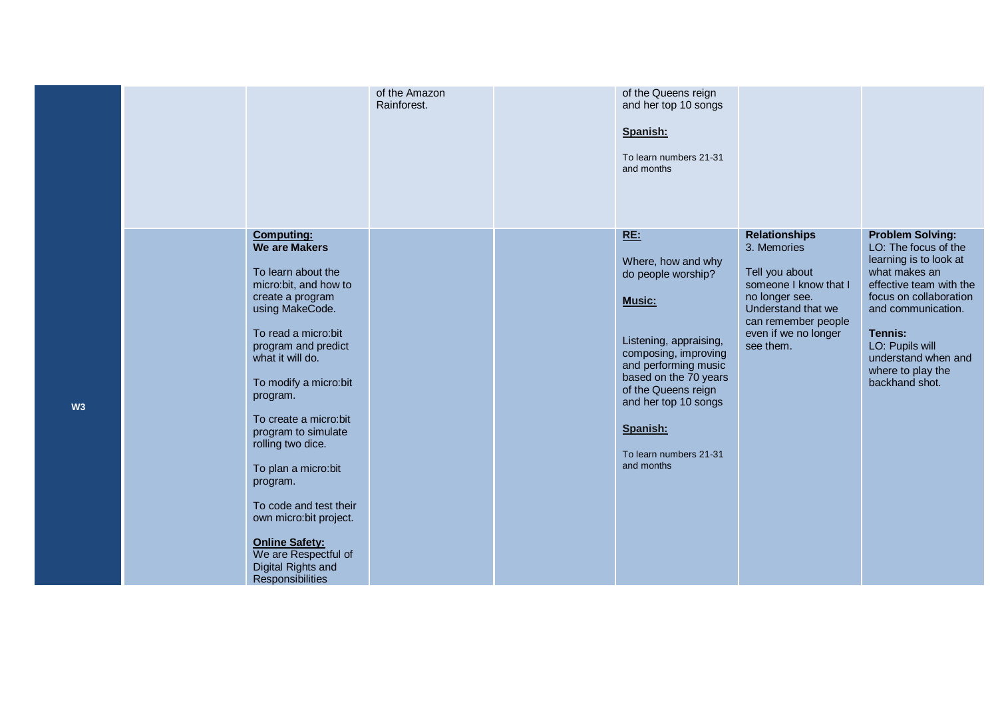|    |                                                                                                                                                                                                                                                                                                                                                                                                                                                                                                | of the Amazon<br>Rainforest. | of the Queens reign<br>and her top 10 songs<br>Spanish:<br>To learn numbers 21-31<br>and months                                                                                                                                                                 |                                                                                                                                                                                    |                                                                                                                                                                                                                                                                   |
|----|------------------------------------------------------------------------------------------------------------------------------------------------------------------------------------------------------------------------------------------------------------------------------------------------------------------------------------------------------------------------------------------------------------------------------------------------------------------------------------------------|------------------------------|-----------------------------------------------------------------------------------------------------------------------------------------------------------------------------------------------------------------------------------------------------------------|------------------------------------------------------------------------------------------------------------------------------------------------------------------------------------|-------------------------------------------------------------------------------------------------------------------------------------------------------------------------------------------------------------------------------------------------------------------|
| W3 | <b>Computing:</b><br><b>We are Makers</b><br>To learn about the<br>micro:bit, and how to<br>create a program<br>using MakeCode.<br>To read a micro:bit<br>program and predict<br>what it will do.<br>To modify a micro:bit<br>program.<br>To create a micro:bit<br>program to simulate<br>rolling two dice.<br>To plan a micro:bit<br>program.<br>To code and test their<br>own micro: bit project.<br><b>Online Safety:</b><br>We are Respectful of<br>Digital Rights and<br>Responsibilities |                              | RE:<br>Where, how and why<br>do people worship?<br>Music:<br>Listening, appraising,<br>composing, improving<br>and performing music<br>based on the 70 years<br>of the Queens reign<br>and her top 10 songs<br>Spanish:<br>To learn numbers 21-31<br>and months | <b>Relationships</b><br>3. Memories<br>Tell you about<br>someone I know that I<br>no longer see.<br>Understand that we<br>can remember people<br>even if we no longer<br>see them. | <b>Problem Solving:</b><br>LO: The focus of the<br>learning is to look at<br>what makes an<br>effective team with the<br>focus on collaboration<br>and communication.<br>Tennis:<br>LO: Pupils will<br>understand when and<br>where to play the<br>backhand shot. |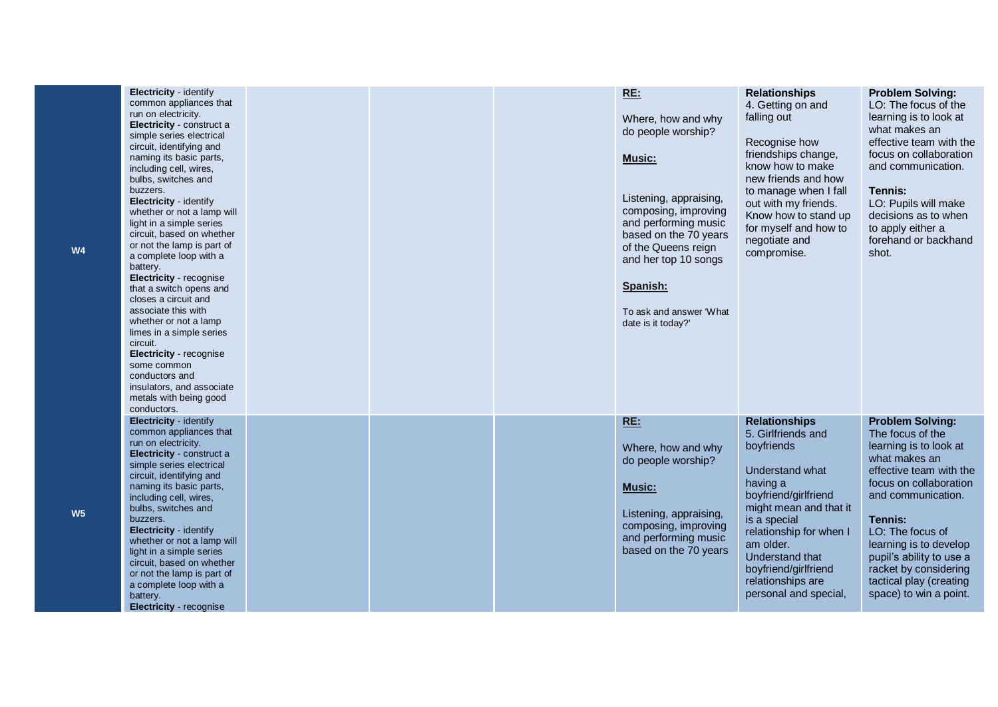| Electricity - identify<br>common appliances that<br>run on electricity.<br>Electricity - construct a<br>simple series electrical<br>circuit, identifying and<br>naming its basic parts,<br>including cell, wires,<br>bulbs, switches and<br>buzzers.<br>Electricity - identify<br>whether or not a lamp will<br>light in a simple series<br>circuit, based on whether<br>or not the lamp is part of<br>a complete loop with a<br>battery.<br>Electricity - recognise<br>that a switch opens and<br>closes a circuit and<br>associate this with<br>whether or not a lamp<br>limes in a simple series<br>circuit.<br>Electricity - recognise<br>some common<br>conductors and<br>insulators, and associate<br>metals with being good<br>conductors. |  | RE:<br>Where, how and why<br>do people worship?<br><b>Music:</b><br>Listening, appraising,<br>composing, improving<br>and performing music<br>based on the 70 years<br>of the Queens reign<br>and her top 10 songs<br>Spanish:<br>To ask and answer 'What<br>date is it today?' | <b>Relationships</b><br>4. Getting on and<br>falling out<br>Recognise how<br>friendships change,<br>know how to make<br>new friends and how<br>to manage when I fall<br>out with my friends.<br>Know how to stand up<br>for myself and how to<br>negotiate and<br>compromise.              | <b>Problem Solving:</b><br>LO: The focus of the<br>learning is to look at<br>what makes an<br>effective team with the<br>focus on collaboration<br>and communication.<br>Tennis:<br>LO: Pupils will make<br>decisions as to when<br>to apply either a<br>forehand or backhand<br>shot.                                               |
|---------------------------------------------------------------------------------------------------------------------------------------------------------------------------------------------------------------------------------------------------------------------------------------------------------------------------------------------------------------------------------------------------------------------------------------------------------------------------------------------------------------------------------------------------------------------------------------------------------------------------------------------------------------------------------------------------------------------------------------------------|--|---------------------------------------------------------------------------------------------------------------------------------------------------------------------------------------------------------------------------------------------------------------------------------|--------------------------------------------------------------------------------------------------------------------------------------------------------------------------------------------------------------------------------------------------------------------------------------------|--------------------------------------------------------------------------------------------------------------------------------------------------------------------------------------------------------------------------------------------------------------------------------------------------------------------------------------|
| Electricity - identify<br>common appliances that<br>run on electricity.<br>Electricity - construct a<br>simple series electrical<br>circuit, identifying and<br>naming its basic parts,<br>including cell, wires,<br>bulbs, switches and<br>buzzers.<br>Electricity - identify<br>whether or not a lamp will<br>light in a simple series<br>circuit, based on whether<br>or not the lamp is part of<br>a complete loop with a<br>battery.<br><b>Electricity - recognise</b>                                                                                                                                                                                                                                                                       |  | RE:<br>Where, how and why<br>do people worship?<br><b>Music:</b><br>Listening, appraising,<br>composing, improving<br>and performing music<br>based on the 70 years                                                                                                             | <b>Relationships</b><br>5. Girlfriends and<br>boyfriends<br>Understand what<br>having a<br>boyfriend/girlfriend<br>might mean and that it<br>is a special<br>relationship for when I<br>am older.<br>Understand that<br>boyfriend/girlfriend<br>relationships are<br>personal and special, | <b>Problem Solving:</b><br>The focus of the<br>learning is to look at<br>what makes an<br>effective team with the<br>focus on collaboration<br>and communication.<br>Tennis:<br>LO: The focus of<br>learning is to develop<br>pupil's ability to use a<br>racket by considering<br>tactical play (creating<br>space) to win a point. |

**W4**

**W5**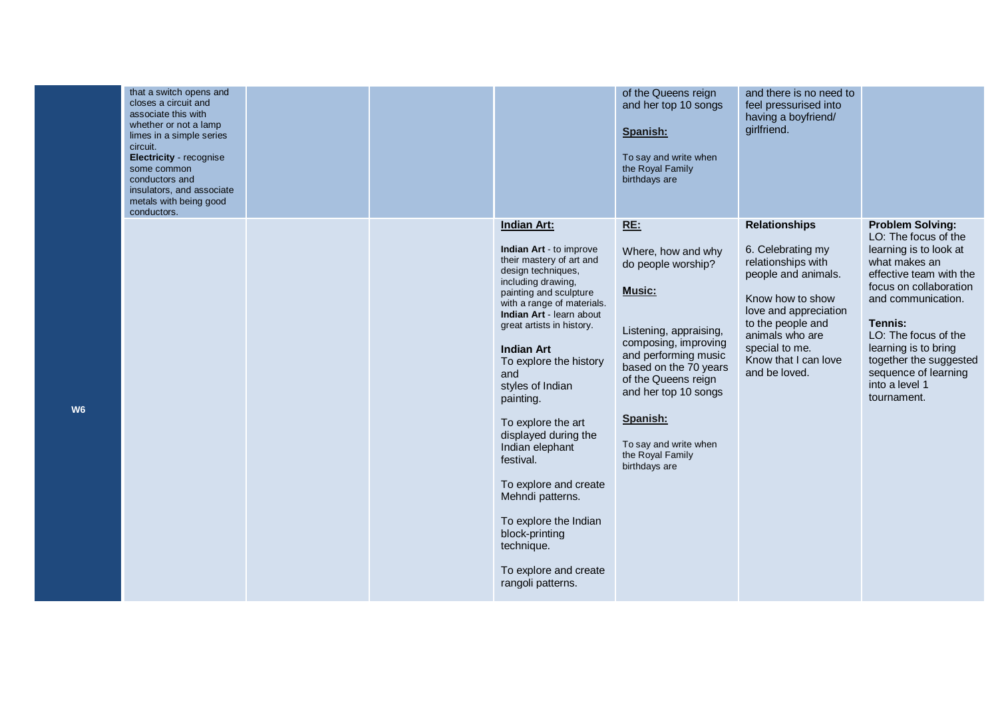| that a switch opens and<br>closes a circuit and<br>associate this with<br>whether or not a lamp<br>limes in a simple series<br>circuit.<br>Electricity - recognise<br>some common<br>conductors and<br>insulators, and associate<br>metals with being good<br>conductors. |  |                                                                                                                                                                                                                                                                                                                                                                                                                                                                                                                                                                 | of the Queens reign<br>and her top 10 songs<br>Spanish:<br>To say and write when<br>the Royal Family<br>birthdays are                                                                                                                                                                        | and there is no need to<br>feel pressurised into<br>having a boyfriend/<br>girlfriend.                                                                                                                                                 |                                                                                                                                                                                                                                                                                                                     |
|---------------------------------------------------------------------------------------------------------------------------------------------------------------------------------------------------------------------------------------------------------------------------|--|-----------------------------------------------------------------------------------------------------------------------------------------------------------------------------------------------------------------------------------------------------------------------------------------------------------------------------------------------------------------------------------------------------------------------------------------------------------------------------------------------------------------------------------------------------------------|----------------------------------------------------------------------------------------------------------------------------------------------------------------------------------------------------------------------------------------------------------------------------------------------|----------------------------------------------------------------------------------------------------------------------------------------------------------------------------------------------------------------------------------------|---------------------------------------------------------------------------------------------------------------------------------------------------------------------------------------------------------------------------------------------------------------------------------------------------------------------|
|                                                                                                                                                                                                                                                                           |  | <b>Indian Art:</b><br>Indian Art - to improve<br>their mastery of art and<br>design techniques,<br>including drawing,<br>painting and sculpture<br>with a range of materials.<br>Indian Art - learn about<br>great artists in history.<br><b>Indian Art</b><br>To explore the history<br>and<br>styles of Indian<br>painting.<br>To explore the art<br>displayed during the<br>Indian elephant<br>festival.<br>To explore and create<br>Mehndi patterns.<br>To explore the Indian<br>block-printing<br>technique.<br>To explore and create<br>rangoli patterns. | <b>RE:</b><br>Where, how and why<br>do people worship?<br>Music:<br>Listening, appraising,<br>composing, improving<br>and performing music<br>based on the 70 years<br>of the Queens reign<br>and her top 10 songs<br>Spanish:<br>To say and write when<br>the Royal Family<br>birthdays are | <b>Relationships</b><br>6. Celebrating my<br>relationships with<br>people and animals.<br>Know how to show<br>love and appreciation<br>to the people and<br>animals who are<br>special to me.<br>Know that I can love<br>and be loved. | <b>Problem Solving:</b><br>LO: The focus of the<br>learning is to look at<br>what makes an<br>effective team with the<br>focus on collaboration<br>and communication.<br>Tennis:<br>LO: The focus of the<br>learning is to bring<br>together the suggested<br>sequence of learning<br>into a level 1<br>tournament. |

**W6**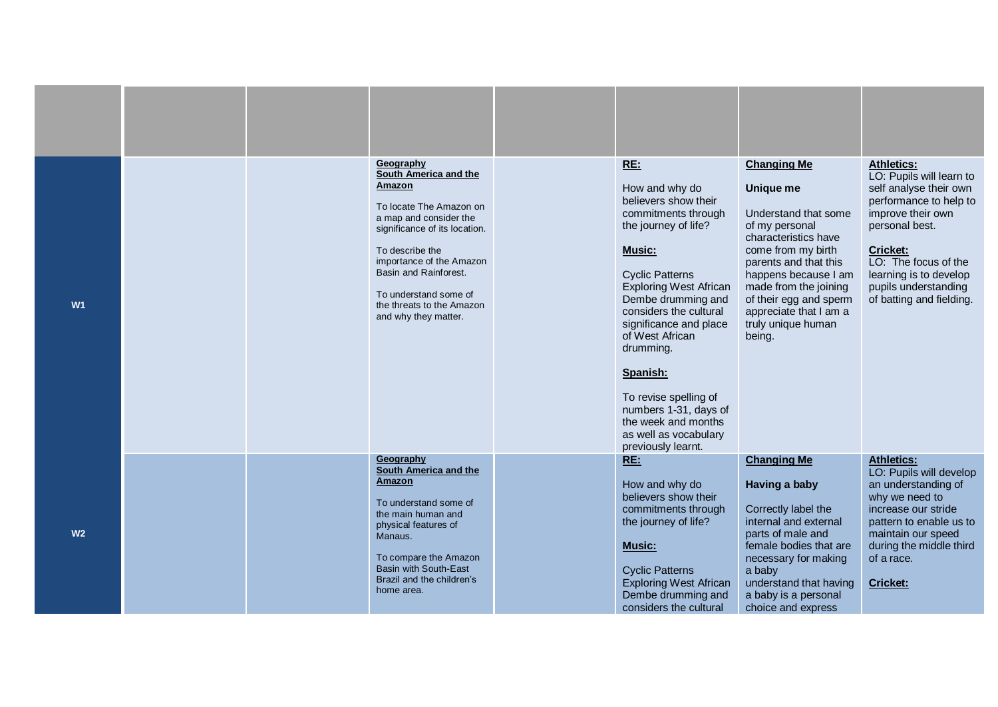| W <sub>1</sub> |  | Geography<br>South America and the<br>Amazon<br>To locate The Amazon on<br>a map and consider the<br>significance of its location.<br>To describe the<br>importance of the Amazon<br>Basin and Rainforest.<br>To understand some of<br>the threats to the Amazon<br>and why they matter. | RE:<br>How and why do<br>believers show their<br>commitments through<br>the journey of life?<br>Music:<br><b>Cyclic Patterns</b><br><b>Exploring West African</b><br>Dembe drumming and<br>considers the cultural<br>significance and place<br>of West African<br>drumming.<br>Spanish:<br>To revise spelling of<br>numbers 1-31, days of<br>the week and months<br>as well as vocabulary<br>previously learnt. | <b>Changing Me</b><br><b>Unique me</b><br>Understand that some<br>of my personal<br>characteristics have<br>come from my birth<br>parents and that this<br>happens because I am<br>made from the joining<br>of their egg and sperm<br>appreciate that I am a<br>truly unique human<br>being. | <b>Athletics:</b><br>LO: Pupils will learn to<br>self analyse their own<br>performance to help to<br>improve their own<br>personal best.<br>Cricket:<br>LO: The focus of the<br>learning is to develop<br>pupils understanding<br>of batting and fielding. |
|----------------|--|------------------------------------------------------------------------------------------------------------------------------------------------------------------------------------------------------------------------------------------------------------------------------------------|-----------------------------------------------------------------------------------------------------------------------------------------------------------------------------------------------------------------------------------------------------------------------------------------------------------------------------------------------------------------------------------------------------------------|----------------------------------------------------------------------------------------------------------------------------------------------------------------------------------------------------------------------------------------------------------------------------------------------|------------------------------------------------------------------------------------------------------------------------------------------------------------------------------------------------------------------------------------------------------------|
| W <sub>2</sub> |  | Geography<br>South America and the<br>Amazon<br>To understand some of<br>the main human and<br>physical features of<br>Manaus.<br>To compare the Amazon<br><b>Basin with South-East</b><br>Brazil and the children's<br>home area.                                                       | RE:<br>How and why do<br>believers show their<br>commitments through<br>the journey of life?<br>Music:<br><b>Cyclic Patterns</b><br><b>Exploring West African</b><br>Dembe drumming and<br>considers the cultural                                                                                                                                                                                               | <b>Changing Me</b><br>Having a baby<br>Correctly label the<br>internal and external<br>parts of male and<br>female bodies that are<br>necessary for making<br>a baby<br>understand that having<br>a baby is a personal<br>choice and express                                                 | <b>Athletics:</b><br>LO: Pupils will develop<br>an understanding of<br>why we need to<br>increase our stride<br>pattern to enable us to<br>maintain our speed<br>during the middle third<br>of a race.<br><b>Cricket:</b>                                  |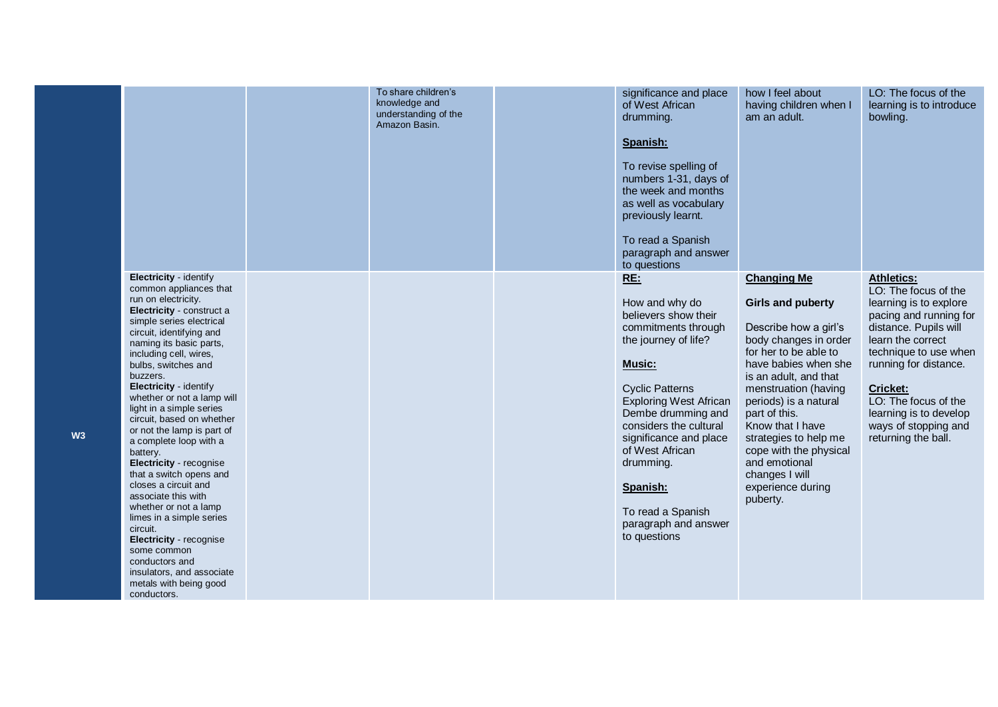|    |                                                                                                                                                                                                                                                                                                                                                                                                                                                                                                                                                                                                                                                                                                                                                          | To share children's<br>knowledge and<br>understanding of the<br>Amazon Basin. | significance and place<br>of West African<br>drumming.<br>Spanish:<br>To revise spelling of<br>numbers 1-31, days of<br>the week and months<br>as well as vocabulary<br>previously learnt.<br>To read a Spanish<br>paragraph and answer<br>to questions                                                                                              | how I feel about<br>having children when I<br>am an adult.                                                                                                                                                                                                                                                                                                                              | LO: The focus of the<br>learning is to introduce<br>bowling.                                                                                                                                                                                                                                                      |
|----|----------------------------------------------------------------------------------------------------------------------------------------------------------------------------------------------------------------------------------------------------------------------------------------------------------------------------------------------------------------------------------------------------------------------------------------------------------------------------------------------------------------------------------------------------------------------------------------------------------------------------------------------------------------------------------------------------------------------------------------------------------|-------------------------------------------------------------------------------|------------------------------------------------------------------------------------------------------------------------------------------------------------------------------------------------------------------------------------------------------------------------------------------------------------------------------------------------------|-----------------------------------------------------------------------------------------------------------------------------------------------------------------------------------------------------------------------------------------------------------------------------------------------------------------------------------------------------------------------------------------|-------------------------------------------------------------------------------------------------------------------------------------------------------------------------------------------------------------------------------------------------------------------------------------------------------------------|
| W3 | Electricity - identify<br>common appliances that<br>run on electricity.<br>Electricity - construct a<br>simple series electrical<br>circuit, identifying and<br>naming its basic parts,<br>including cell, wires,<br>bulbs, switches and<br>buzzers.<br>Electricity - identify<br>whether or not a lamp will<br>light in a simple series<br>circuit, based on whether<br>or not the lamp is part of<br>a complete loop with a<br>battery.<br>Electricity - recognise<br>that a switch opens and<br>closes a circuit and<br>associate this with<br>whether or not a lamp<br>limes in a simple series<br>circuit.<br><b>Electricity</b> - recognise<br>some common<br>conductors and<br>insulators, and associate<br>metals with being good<br>conductors. |                                                                               | RE:<br>How and why do<br>believers show their<br>commitments through<br>the journey of life?<br>Music:<br><b>Cyclic Patterns</b><br><b>Exploring West African</b><br>Dembe drumming and<br>considers the cultural<br>significance and place<br>of West African<br>drumming.<br>Spanish:<br>To read a Spanish<br>paragraph and answer<br>to questions | <b>Changing Me</b><br><b>Girls and puberty</b><br>Describe how a girl's<br>body changes in order<br>for her to be able to<br>have babies when she<br>is an adult, and that<br>menstruation (having<br>periods) is a natural<br>part of this.<br>Know that I have<br>strategies to help me<br>cope with the physical<br>and emotional<br>changes I will<br>experience during<br>puberty. | <b>Athletics:</b><br>LO: The focus of the<br>learning is to explore<br>pacing and running for<br>distance. Pupils will<br>learn the correct<br>technique to use when<br>running for distance.<br><b>Cricket:</b><br>LO: The focus of the<br>learning is to develop<br>ways of stopping and<br>returning the ball. |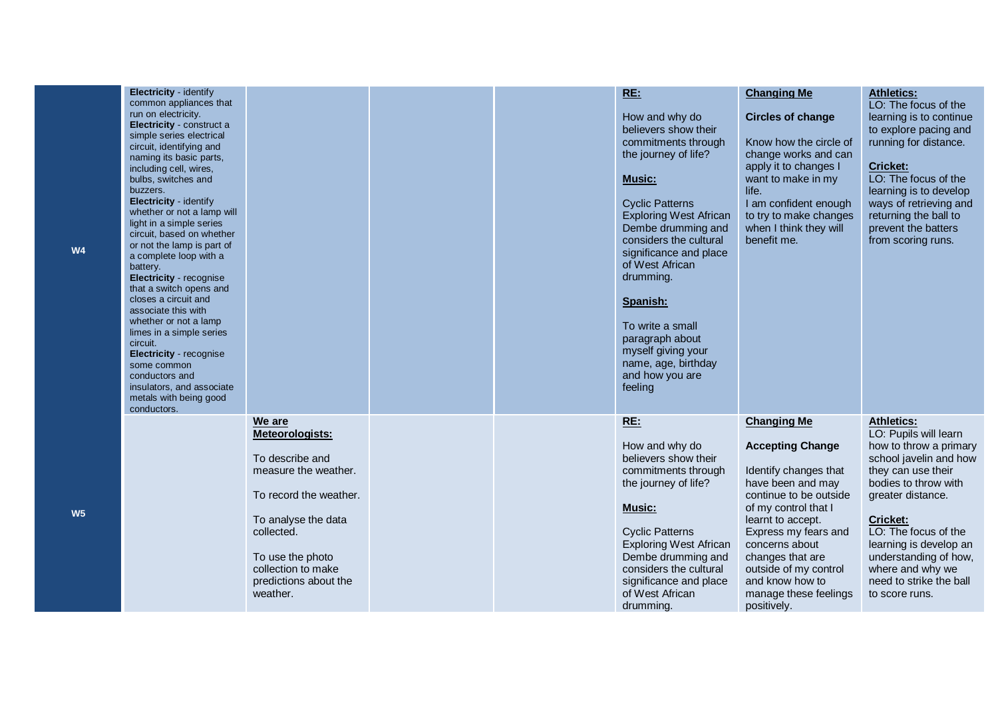| Electricity - identify<br>common appliances that<br>run on electricity.<br>Electricity - construct a<br>simple series electrical<br>circuit, identifying and<br>naming its basic parts,<br>including cell, wires,<br>bulbs, switches and<br>buzzers.<br>Electricity - identify<br>whether or not a lamp will<br>light in a simple series<br>circuit, based on whether<br>or not the lamp is part of<br>a complete loop with a<br>battery.<br>Electricity - recognise<br>that a switch opens and<br>closes a circuit and<br>associate this with<br>whether or not a lamp<br>limes in a simple series<br>circuit.<br>Electricity - recognise<br>some common<br>conductors and<br>insulators, and associate<br>metals with being good<br>conductors. |                                                                                                                                                                                                                    |  | <b>RE:</b><br>How and why do<br>believers show their<br>commitments through<br>the journey of life?<br><b>Music:</b><br><b>Cyclic Patterns</b><br><b>Exploring West African</b><br>Dembe drumming and<br>considers the cultural<br>significance and place<br>of West African<br>drumming.<br>Spanish:<br>To write a small<br>paragraph about<br>myself giving your<br>name, age, birthday<br>and how you are<br>feeling | <b>Changing Me</b><br><b>Circles of change</b><br>Know how the circle of<br>change works and can<br>apply it to changes I<br>want to make in my<br>life.<br>I am confident enough<br>to try to make changes<br>when I think they will<br>benefit me.                                                                 | <b>Athletics:</b><br>LO: The focus of the<br>learning is to continue<br>to explore pacing and<br>running for distance.<br>Cricket:<br>LO: The focus of the<br>learning is to develop<br>ways of retrieving and<br>returning the ball to<br>prevent the batters<br>from scoring runs.                                             |
|---------------------------------------------------------------------------------------------------------------------------------------------------------------------------------------------------------------------------------------------------------------------------------------------------------------------------------------------------------------------------------------------------------------------------------------------------------------------------------------------------------------------------------------------------------------------------------------------------------------------------------------------------------------------------------------------------------------------------------------------------|--------------------------------------------------------------------------------------------------------------------------------------------------------------------------------------------------------------------|--|-------------------------------------------------------------------------------------------------------------------------------------------------------------------------------------------------------------------------------------------------------------------------------------------------------------------------------------------------------------------------------------------------------------------------|----------------------------------------------------------------------------------------------------------------------------------------------------------------------------------------------------------------------------------------------------------------------------------------------------------------------|----------------------------------------------------------------------------------------------------------------------------------------------------------------------------------------------------------------------------------------------------------------------------------------------------------------------------------|
|                                                                                                                                                                                                                                                                                                                                                                                                                                                                                                                                                                                                                                                                                                                                                   | We are<br>Meteorologists:<br>To describe and<br>measure the weather.<br>To record the weather.<br>To analyse the data<br>collected.<br>To use the photo<br>collection to make<br>predictions about the<br>weather. |  | <b>RE:</b><br>How and why do<br>believers show their<br>commitments through<br>the journey of life?<br><b>Music:</b><br><b>Cyclic Patterns</b><br><b>Exploring West African</b><br>Dembe drumming and<br>considers the cultural<br>significance and place<br>of West African<br>drumming.                                                                                                                               | <b>Changing Me</b><br><b>Accepting Change</b><br>Identify changes that<br>have been and may<br>continue to be outside<br>of my control that I<br>learnt to accept.<br>Express my fears and<br>concerns about<br>changes that are<br>outside of my control<br>and know how to<br>manage these feelings<br>positively. | <b>Athletics:</b><br>LO: Pupils will learn<br>how to throw a primary<br>school javelin and how<br>they can use their<br>bodies to throw with<br>greater distance.<br><b>Cricket:</b><br>LO: The focus of the<br>learning is develop an<br>understanding of how,<br>where and why we<br>need to strike the ball<br>to score runs. |

**W5**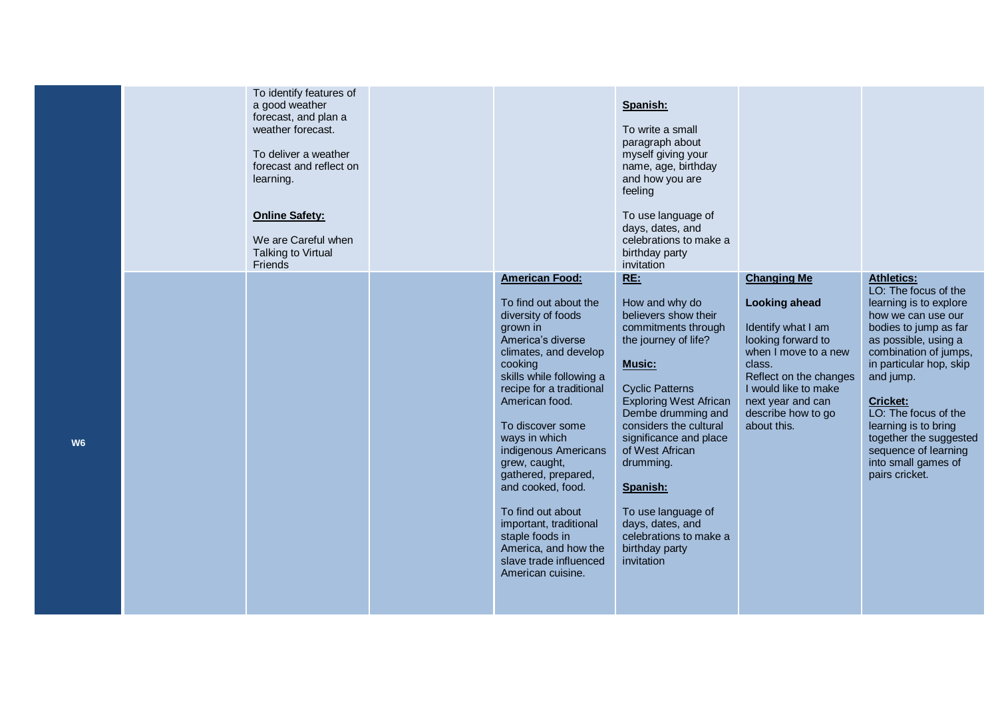|                | To identify features of<br>a good weather<br>forecast, and plan a<br>weather forecast.<br>To deliver a weather<br>forecast and reflect on<br>learning.<br><b>Online Safety:</b><br>We are Careful when<br>Talking to Virtual<br>Friends |                                                                                                                                                                                                                                                                                                                                                                                                                                                                                        | Spanish:<br>To write a small<br>paragraph about<br>myself giving your<br>name, age, birthday<br>and how you are<br>feeling<br>To use language of<br>days, dates, and<br>celebrations to make a<br>birthday party<br>invitation                                                                                                                                                                            |                                                                                                                                                                                                                                      |                                                                                                                                                                                                                                                                                                                                                                           |
|----------------|-----------------------------------------------------------------------------------------------------------------------------------------------------------------------------------------------------------------------------------------|----------------------------------------------------------------------------------------------------------------------------------------------------------------------------------------------------------------------------------------------------------------------------------------------------------------------------------------------------------------------------------------------------------------------------------------------------------------------------------------|-----------------------------------------------------------------------------------------------------------------------------------------------------------------------------------------------------------------------------------------------------------------------------------------------------------------------------------------------------------------------------------------------------------|--------------------------------------------------------------------------------------------------------------------------------------------------------------------------------------------------------------------------------------|---------------------------------------------------------------------------------------------------------------------------------------------------------------------------------------------------------------------------------------------------------------------------------------------------------------------------------------------------------------------------|
| W <sub>6</sub> |                                                                                                                                                                                                                                         | <b>American Food:</b><br>To find out about the<br>diversity of foods<br>grown in<br>America's diverse<br>climates, and develop<br>cooking<br>skills while following a<br>recipe for a traditional<br>American food.<br>To discover some<br>ways in which<br>indigenous Americans<br>grew, caught,<br>gathered, prepared,<br>and cooked, food.<br>To find out about<br>important, traditional<br>staple foods in<br>America, and how the<br>slave trade influenced<br>American cuisine. | <b>RE:</b><br>How and why do<br>believers show their<br>commitments through<br>the journey of life?<br><b>Music:</b><br><b>Cyclic Patterns</b><br><b>Exploring West African</b><br>Dembe drumming and<br>considers the cultural<br>significance and place<br>of West African<br>drumming.<br>Spanish:<br>To use language of<br>days, dates, and<br>celebrations to make a<br>birthday party<br>invitation | <b>Changing Me</b><br><b>Looking ahead</b><br>Identify what I am<br>looking forward to<br>when I move to a new<br>class.<br>Reflect on the changes<br>I would like to make<br>next year and can<br>describe how to go<br>about this. | <b>Athletics:</b><br>LO: The focus of the<br>learning is to explore<br>how we can use our<br>bodies to jump as far<br>as possible, using a<br>combination of jumps,<br>in particular hop, skip<br>and jump.<br><b>Cricket:</b><br>LO: The focus of the<br>learning is to bring<br>together the suggested<br>sequence of learning<br>into small games of<br>pairs cricket. |